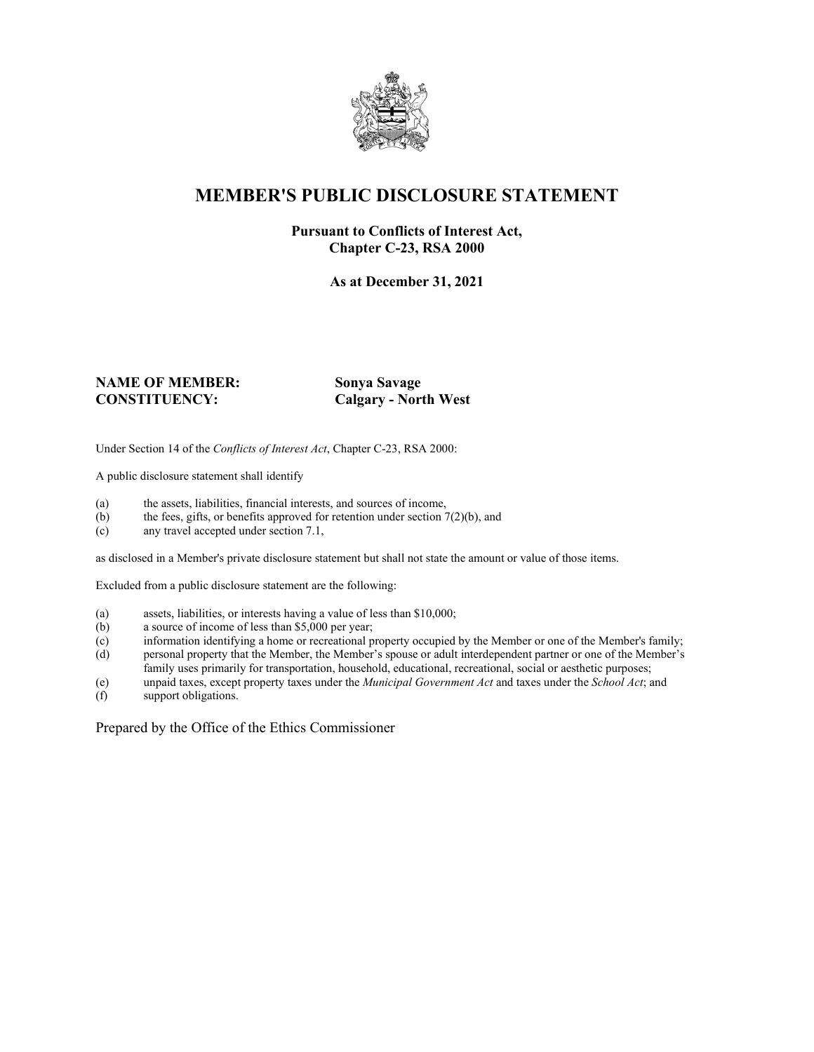

## **MEMBER'S PUBLIC DISCLOSURE STATEMENT**

#### **Pursuant to Conflicts of Interest Act, Chapter C-23, RSA 2000**

**As at December 31, 2021**

#### **NAME OF MEMBER: Sonya Savage CONSTITUENCY: Calgary - North West**

Under Section 14 of the *Conflicts of Interest Act*, Chapter C-23, RSA 2000:

A public disclosure statement shall identify

- (a) the assets, liabilities, financial interests, and sources of income,  $(b)$  the fees, gifts, or benefits approved for retention under section 7
- the fees, gifts, or benefits approved for retention under section  $7(2)(b)$ , and
- (c) any travel accepted under section 7.1,

as disclosed in a Member's private disclosure statement but shall not state the amount or value of those items.

Excluded from a public disclosure statement are the following:

- (a) assets, liabilities, or interests having a value of less than \$10,000;<br>(b) a source of income of less than \$5,000 per year;
- a source of income of less than  $$5,000$  per year;
- (c) information identifying a home or recreational property occupied by the Member or one of the Member's family;
- (d) personal property that the Member, the Member's spouse or adult interdependent partner or one of the Member's family uses primarily for transportation, household, educational, recreational, social or aesthetic purposes;
- (e) unpaid taxes, except property taxes under the *Municipal Government Act* and taxes under the *School Act*; and
- (f) support obligations.

Prepared by the Office of the Ethics Commissioner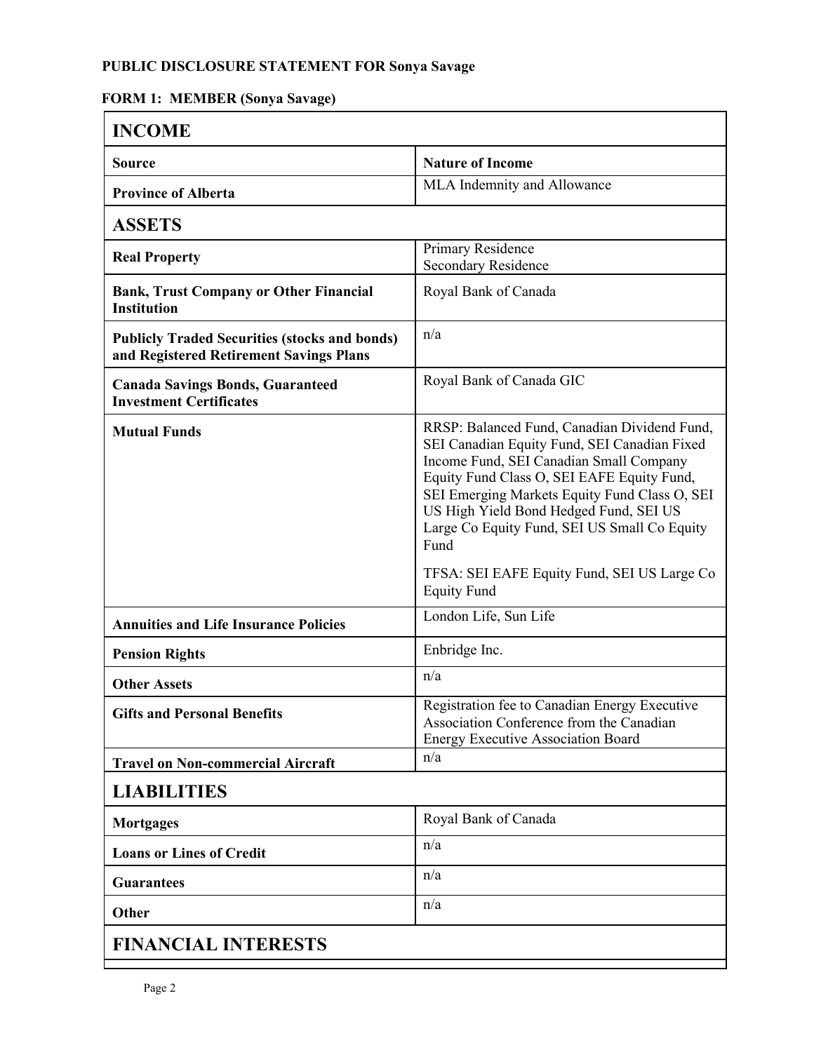### **PUBLIC DISCLOSURE STATEMENT FOR Sonya Savage**

### **FORM 1: MEMBER (Sonya Savage)**

| <b>INCOME</b>                                                                                   |                                                                                                                                                                                                                                                                                                                                                                                                               |
|-------------------------------------------------------------------------------------------------|---------------------------------------------------------------------------------------------------------------------------------------------------------------------------------------------------------------------------------------------------------------------------------------------------------------------------------------------------------------------------------------------------------------|
| <b>Source</b>                                                                                   | <b>Nature of Income</b>                                                                                                                                                                                                                                                                                                                                                                                       |
| <b>Province of Alberta</b>                                                                      | MLA Indemnity and Allowance                                                                                                                                                                                                                                                                                                                                                                                   |
| <b>ASSETS</b>                                                                                   |                                                                                                                                                                                                                                                                                                                                                                                                               |
| <b>Real Property</b>                                                                            | Primary Residence<br><b>Secondary Residence</b>                                                                                                                                                                                                                                                                                                                                                               |
| <b>Bank, Trust Company or Other Financial</b><br><b>Institution</b>                             | Royal Bank of Canada                                                                                                                                                                                                                                                                                                                                                                                          |
| <b>Publicly Traded Securities (stocks and bonds)</b><br>and Registered Retirement Savings Plans | n/a                                                                                                                                                                                                                                                                                                                                                                                                           |
| <b>Canada Savings Bonds, Guaranteed</b><br><b>Investment Certificates</b>                       | Royal Bank of Canada GIC                                                                                                                                                                                                                                                                                                                                                                                      |
| <b>Mutual Funds</b>                                                                             | RRSP: Balanced Fund, Canadian Dividend Fund,<br>SEI Canadian Equity Fund, SEI Canadian Fixed<br>Income Fund, SEI Canadian Small Company<br>Equity Fund Class O, SEI EAFE Equity Fund,<br>SEI Emerging Markets Equity Fund Class O, SEI<br>US High Yield Bond Hedged Fund, SEI US<br>Large Co Equity Fund, SEI US Small Co Equity<br>Fund<br>TFSA: SEI EAFE Equity Fund, SEI US Large Co<br><b>Equity Fund</b> |
| <b>Annuities and Life Insurance Policies</b>                                                    | London Life, Sun Life                                                                                                                                                                                                                                                                                                                                                                                         |
| <b>Pension Rights</b>                                                                           | Enbridge Inc.                                                                                                                                                                                                                                                                                                                                                                                                 |
| <b>Other Assets</b>                                                                             | n/a                                                                                                                                                                                                                                                                                                                                                                                                           |
| <b>Gifts and Personal Benefits</b>                                                              | Registration fee to Canadian Energy Executive<br>Association Conference from the Canadian<br><b>Energy Executive Association Board</b>                                                                                                                                                                                                                                                                        |
| <b>Travel on Non-commercial Aircraft</b>                                                        | n/a                                                                                                                                                                                                                                                                                                                                                                                                           |
| <b>LIABILITIES</b>                                                                              |                                                                                                                                                                                                                                                                                                                                                                                                               |
| <b>Mortgages</b>                                                                                | Royal Bank of Canada                                                                                                                                                                                                                                                                                                                                                                                          |
| <b>Loans or Lines of Credit</b>                                                                 | n/a                                                                                                                                                                                                                                                                                                                                                                                                           |
| <b>Guarantees</b>                                                                               | n/a                                                                                                                                                                                                                                                                                                                                                                                                           |
| Other                                                                                           | n/a                                                                                                                                                                                                                                                                                                                                                                                                           |
| <b>FINANCIAL INTERESTS</b>                                                                      |                                                                                                                                                                                                                                                                                                                                                                                                               |
|                                                                                                 |                                                                                                                                                                                                                                                                                                                                                                                                               |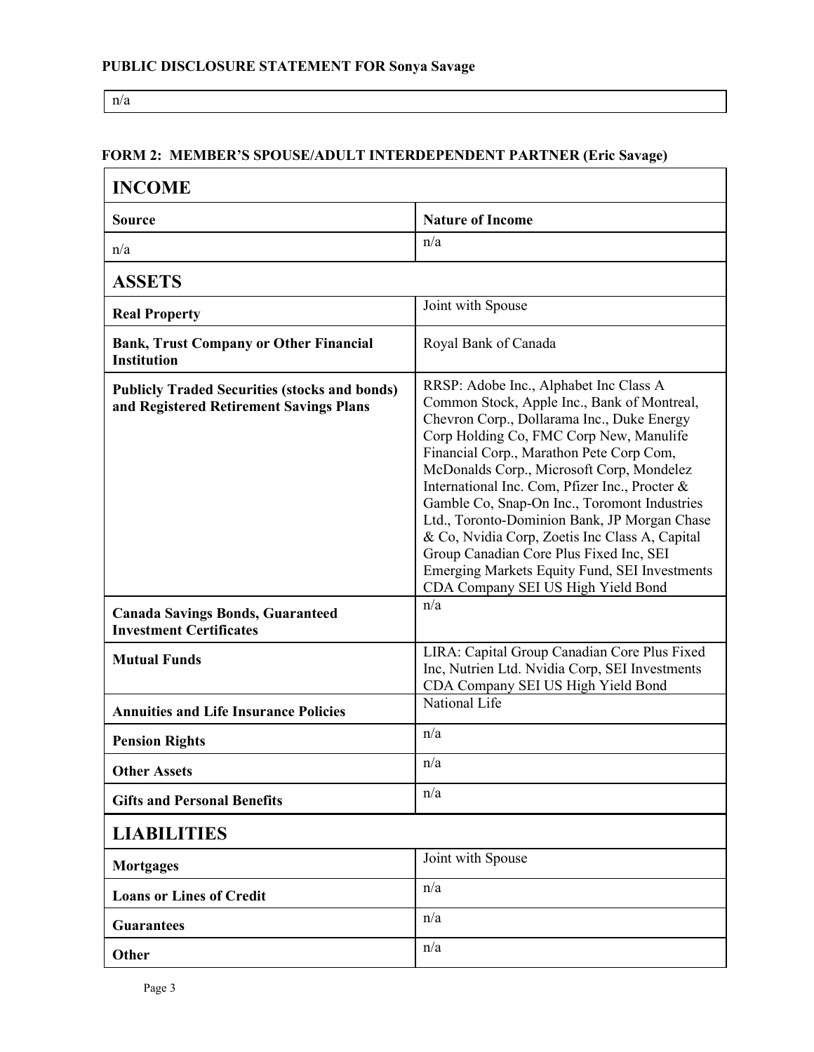n/a

#### **FORM 2: MEMBER'S SPOUSE/ADULT INTERDEPENDENT PARTNER (Eric Savage)**

| <b>INCOME</b>                                                                                   |                                                                                                                                                                                                                                                                                                                                                                                                                                                                                                                                                                                                               |
|-------------------------------------------------------------------------------------------------|---------------------------------------------------------------------------------------------------------------------------------------------------------------------------------------------------------------------------------------------------------------------------------------------------------------------------------------------------------------------------------------------------------------------------------------------------------------------------------------------------------------------------------------------------------------------------------------------------------------|
| <b>Source</b>                                                                                   | <b>Nature of Income</b>                                                                                                                                                                                                                                                                                                                                                                                                                                                                                                                                                                                       |
| n/a                                                                                             | n/a                                                                                                                                                                                                                                                                                                                                                                                                                                                                                                                                                                                                           |
| <b>ASSETS</b>                                                                                   |                                                                                                                                                                                                                                                                                                                                                                                                                                                                                                                                                                                                               |
| <b>Real Property</b>                                                                            | Joint with Spouse                                                                                                                                                                                                                                                                                                                                                                                                                                                                                                                                                                                             |
| <b>Bank, Trust Company or Other Financial</b><br><b>Institution</b>                             | Royal Bank of Canada                                                                                                                                                                                                                                                                                                                                                                                                                                                                                                                                                                                          |
| <b>Publicly Traded Securities (stocks and bonds)</b><br>and Registered Retirement Savings Plans | RRSP: Adobe Inc., Alphabet Inc Class A<br>Common Stock, Apple Inc., Bank of Montreal,<br>Chevron Corp., Dollarama Inc., Duke Energy<br>Corp Holding Co, FMC Corp New, Manulife<br>Financial Corp., Marathon Pete Corp Com,<br>McDonalds Corp., Microsoft Corp, Mondelez<br>International Inc. Com, Pfizer Inc., Procter &<br>Gamble Co, Snap-On Inc., Toromont Industries<br>Ltd., Toronto-Dominion Bank, JP Morgan Chase<br>& Co, Nvidia Corp, Zoetis Inc Class A, Capital<br>Group Canadian Core Plus Fixed Inc, SEI<br>Emerging Markets Equity Fund, SEI Investments<br>CDA Company SEI US High Yield Bond |
| <b>Canada Savings Bonds, Guaranteed</b><br><b>Investment Certificates</b>                       | n/a                                                                                                                                                                                                                                                                                                                                                                                                                                                                                                                                                                                                           |
| <b>Mutual Funds</b>                                                                             | LIRA: Capital Group Canadian Core Plus Fixed<br>Inc, Nutrien Ltd. Nvidia Corp, SEI Investments<br>CDA Company SEI US High Yield Bond                                                                                                                                                                                                                                                                                                                                                                                                                                                                          |
| <b>Annuities and Life Insurance Policies</b>                                                    | National Life                                                                                                                                                                                                                                                                                                                                                                                                                                                                                                                                                                                                 |
| <b>Pension Rights</b>                                                                           | n/a                                                                                                                                                                                                                                                                                                                                                                                                                                                                                                                                                                                                           |
| <b>Other Assets</b>                                                                             | n/a                                                                                                                                                                                                                                                                                                                                                                                                                                                                                                                                                                                                           |
| <b>Gifts and Personal Benefits</b>                                                              | n/a                                                                                                                                                                                                                                                                                                                                                                                                                                                                                                                                                                                                           |
| <b>LIABILITIES</b>                                                                              |                                                                                                                                                                                                                                                                                                                                                                                                                                                                                                                                                                                                               |
| <b>Mortgages</b>                                                                                | Joint with Spouse                                                                                                                                                                                                                                                                                                                                                                                                                                                                                                                                                                                             |
| <b>Loans or Lines of Credit</b>                                                                 | n/a                                                                                                                                                                                                                                                                                                                                                                                                                                                                                                                                                                                                           |
| <b>Guarantees</b>                                                                               | n/a                                                                                                                                                                                                                                                                                                                                                                                                                                                                                                                                                                                                           |
| Other                                                                                           | n/a                                                                                                                                                                                                                                                                                                                                                                                                                                                                                                                                                                                                           |